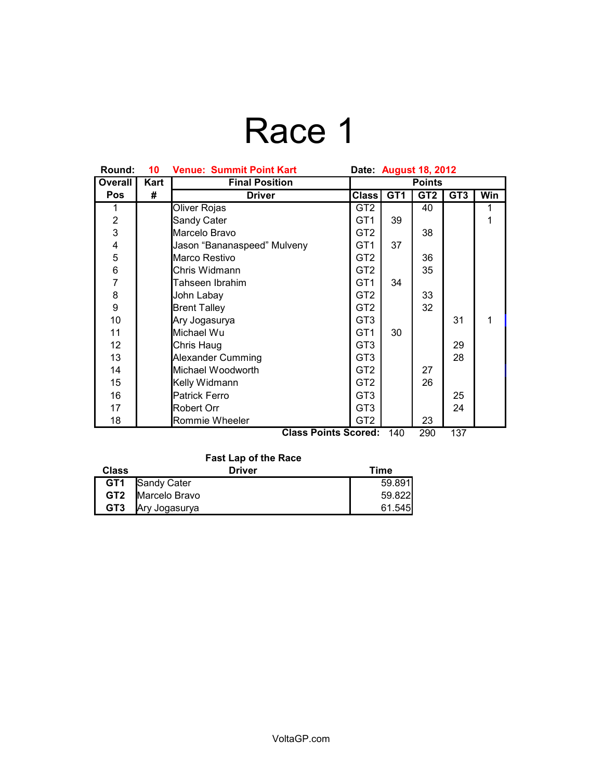# Race 1

| Round:         | 10                                               | <b>Venue: Summit Point Kart</b> | Date: August 18, 2012 |                 |                 |                 |            |
|----------------|--------------------------------------------------|---------------------------------|-----------------------|-----------------|-----------------|-----------------|------------|
| Overall        | Kart                                             | <b>Final Position</b>           | <b>Points</b>         |                 |                 |                 |            |
| Pos            | #                                                | <b>Driver</b>                   | <b>Class</b>          | GT <sub>1</sub> | GT <sub>2</sub> | GT <sub>3</sub> | <b>Win</b> |
|                |                                                  | Oliver Rojas                    | GT <sub>2</sub>       |                 | 40              |                 | 1          |
| $\overline{2}$ |                                                  | Sandy Cater                     | GT <sub>1</sub>       | 39              |                 |                 | 1          |
| $\overline{3}$ |                                                  | Marcelo Bravo                   | GT <sub>2</sub>       |                 | 38              |                 |            |
| 4              |                                                  | Jason "Bananaspeed" Mulveny     | GT <sub>1</sub>       | 37              |                 |                 |            |
| 5              |                                                  | Marco Restivo                   | GT <sub>2</sub>       |                 | 36              |                 |            |
| 6              |                                                  | Chris Widmann                   | GT <sub>2</sub>       |                 | 35              |                 |            |
| $\overline{7}$ |                                                  | Tahseen Ibrahim                 | GT <sub>1</sub>       | 34              |                 |                 |            |
| 8              |                                                  | John Labay                      | GT <sub>2</sub>       |                 | 33              |                 |            |
| 9              |                                                  | <b>Brent Talley</b>             | GT <sub>2</sub>       |                 | 32              |                 |            |
| 10             |                                                  | Ary Jogasurya                   | GT <sub>3</sub>       |                 |                 | 31              | 1          |
| 11             |                                                  | Michael Wu                      | GT <sub>1</sub>       | 30              |                 |                 |            |
| 12             |                                                  | Chris Haug                      | GT <sub>3</sub>       |                 |                 | 29              |            |
| 13             |                                                  | Alexander Cumming               | GT <sub>3</sub>       |                 |                 | 28              |            |
| 14             |                                                  | Michael Woodworth               | GT <sub>2</sub>       |                 | 27              |                 |            |
| 15             |                                                  | Kelly Widmann                   | GT <sub>2</sub>       |                 | 26              |                 |            |
| 16             |                                                  | <b>Patrick Ferro</b>            | GT <sub>3</sub>       |                 |                 | 25              |            |
| 17             |                                                  | Robert Orr                      | GT <sub>3</sub>       |                 |                 | 24              |            |
| 18             |                                                  | Rommie Wheeler                  | GT <sub>2</sub>       |                 | 23              |                 |            |
|                | 137<br><b>Class Points Scored:</b><br>140<br>290 |                                 |                       |                 |                 |                 |            |

**Fast Lap of the Race**

| <b>Class</b>    | <b>Driver</b> | Time   |
|-----------------|---------------|--------|
| GT <sub>1</sub> | Sandy Cater   | 59.891 |
| GT <sub>2</sub> | Marcelo Bravo | 59.822 |
| GT <sub>3</sub> | Ary Jogasurya | 61.545 |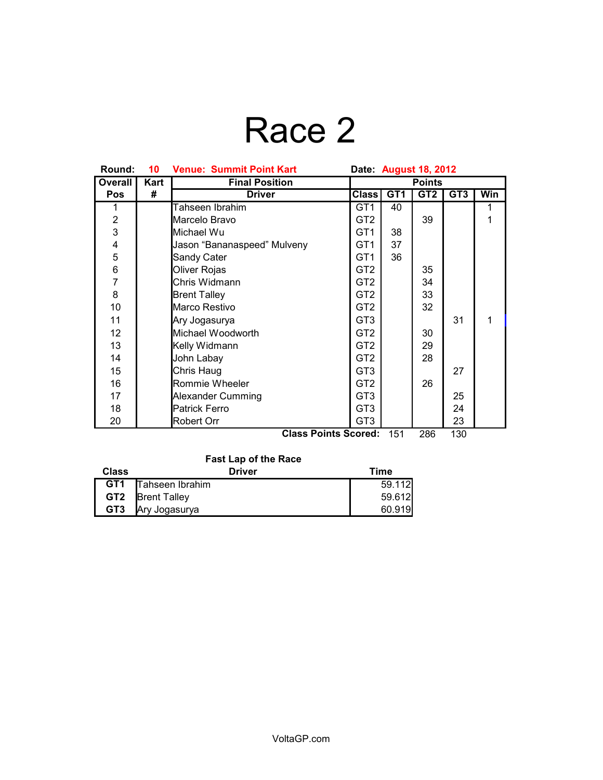# Race 2

| Round:         | 10   | <b>Venue: Summit Point Kart</b> | Date: August 18, 2012 |                 |     |                 |     |
|----------------|------|---------------------------------|-----------------------|-----------------|-----|-----------------|-----|
| Overall        | Kart | <b>Final Position</b>           | <b>Points</b>         |                 |     |                 |     |
| Pos            | #    | <b>Driver</b>                   | Class <sup> </sup>    | GT <sub>1</sub> | GT2 | GT <sub>3</sub> | Win |
|                |      | Tahseen Ibrahim                 | GT <sub>1</sub>       | 40              |     |                 |     |
| $\overline{2}$ |      | Marcelo Bravo                   | GT <sub>2</sub>       |                 | 39  |                 |     |
| 3              |      | Michael Wu                      | GT <sub>1</sub>       | 38              |     |                 |     |
| 4              |      | Jason "Bananaspeed" Mulveny     | GT <sub>1</sub>       | 37              |     |                 |     |
| 5              |      | Sandy Cater                     | GT <sub>1</sub>       | 36              |     |                 |     |
| 6              |      | Oliver Rojas                    | GT <sub>2</sub>       |                 | 35  |                 |     |
| $\overline{7}$ |      | Chris Widmann                   | GT <sub>2</sub>       |                 | 34  |                 |     |
| 8              |      | <b>Brent Talley</b>             | GT <sub>2</sub>       |                 | 33  |                 |     |
| 10             |      | Marco Restivo                   | GT <sub>2</sub>       |                 | 32  |                 |     |
| 11             |      | Ary Jogasurya                   | GT <sub>3</sub>       |                 |     | 31              | 1   |
| 12             |      | Michael Woodworth               | GT <sub>2</sub>       |                 | 30  |                 |     |
| 13             |      | Kelly Widmann                   | GT <sub>2</sub>       |                 | 29  |                 |     |
| 14             |      | John Labay                      | GT <sub>2</sub>       |                 | 28  |                 |     |
| 15             |      | Chris Haug                      | GT <sub>3</sub>       |                 |     | 27              |     |
| 16             |      | Rommie Wheeler                  | GT <sub>2</sub>       |                 | 26  |                 |     |
| 17             |      | <b>Alexander Cumming</b>        | GT <sub>3</sub>       |                 |     | 25              |     |
| 18             |      | <b>Patrick Ferro</b>            | GT <sub>3</sub>       |                 |     | 24              |     |
| 20             |      | Robert Orr<br>. .               | GT <sub>3</sub>       |                 |     | 23              |     |

**Class Points Scored:** 151 286 130

#### **Fast Lap of the Race**

| <b>Class</b>    | <b>Driver</b>       | Time   |
|-----------------|---------------------|--------|
| GT <sub>1</sub> | Tahseen Ibrahim     | 59.112 |
| GT2             | <b>Brent Talley</b> | 59.612 |
| GT <sub>3</sub> | Ary Jogasurya       | 60.919 |